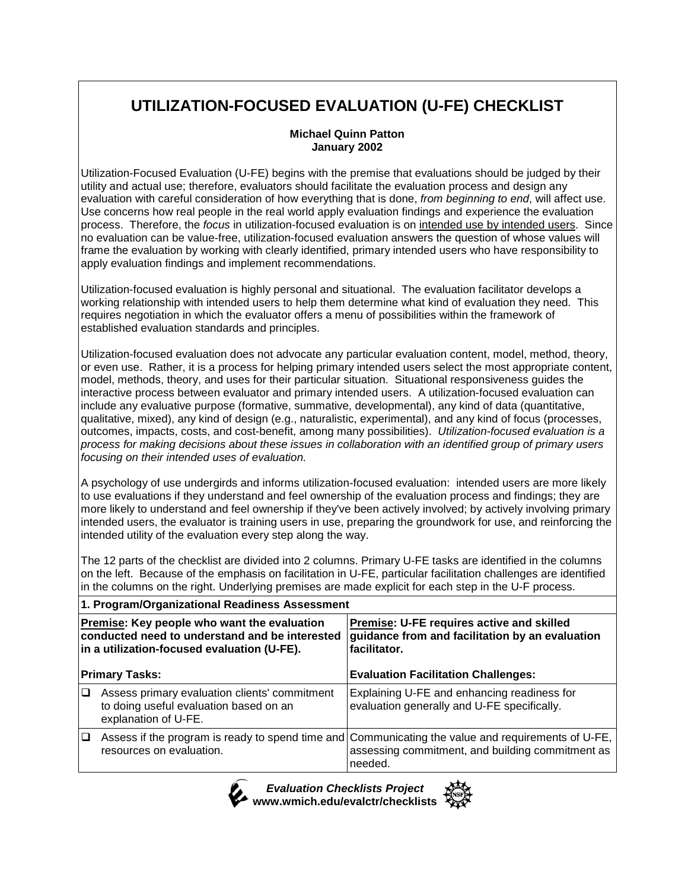## **UTILIZATION-FOCUSED EVALUATION (U-FE) CHECKLIST**

## **Michael Quinn Patton January 2002**

Utilization-Focused Evaluation (U-FE) begins with the premise that evaluations should be judged by their utility and actual use; therefore, evaluators should facilitate the evaluation process and design any evaluation with careful consideration of how everything that is done, *from beginning to end*, will affect use. Use concerns how real people in the real world apply evaluation findings and experience the evaluation process. Therefore, the *focus* in utilization-focused evaluation is on intended use by intended users. Since no evaluation can be value-free, utilization-focused evaluation answers the question of whose values will frame the evaluation by working with clearly identified, primary intended users who have responsibility to apply evaluation findings and implement recommendations.

Utilization-focused evaluation is highly personal and situational. The evaluation facilitator develops a working relationship with intended users to help them determine what kind of evaluation they need. This requires negotiation in which the evaluator offers a menu of possibilities within the framework of established evaluation standards and principles.

Utilization-focused evaluation does not advocate any particular evaluation content, model, method, theory, or even use. Rather, it is a process for helping primary intended users select the most appropriate content, model, methods, theory, and uses for their particular situation. Situational responsiveness guides the interactive process between evaluator and primary intended users. A utilization-focused evaluation can include any evaluative purpose (formative, summative, developmental), any kind of data (quantitative, qualitative, mixed), any kind of design (e.g., naturalistic, experimental), and any kind of focus (processes, outcomes, impacts, costs, and cost-benefit, among many possibilities). *Utilization-focused evaluation is a process for making decisions about these issues in collaboration with an identified group of primary users focusing on their intended uses of evaluation.* 

A psychology of use undergirds and informs utilization-focused evaluation: intended users are more likely to use evaluations if they understand and feel ownership of the evaluation process and findings; they are more likely to understand and feel ownership if they've been actively involved; by actively involving primary intended users, the evaluator is training users in use, preparing the groundwork for use, and reinforcing the intended utility of the evaluation every step along the way.

The 12 parts of the checklist are divided into 2 columns. Primary U-FE tasks are identified in the columns on the left. Because of the emphasis on facilitation in U-FE, particular facilitation challenges are identified in the columns on the right. Underlying premises are made explicit for each step in the U-F process.

| 1. Program/Organizational Readiness Assessment                                                                                                                               |                                                                                                                 |                                                                                                                                                                   |
|------------------------------------------------------------------------------------------------------------------------------------------------------------------------------|-----------------------------------------------------------------------------------------------------------------|-------------------------------------------------------------------------------------------------------------------------------------------------------------------|
| <b>Premise: Key people who want the evaluation</b><br>conducted need to understand and be interested<br>in a utilization-focused evaluation (U-FE).<br><b>Primary Tasks:</b> |                                                                                                                 | Premise: U-FE requires active and skilled<br>guidance from and facilitation by an evaluation<br>facilitator.<br><b>Evaluation Facilitation Challenges:</b>        |
| □                                                                                                                                                                            | Assess primary evaluation clients' commitment<br>to doing useful evaluation based on an<br>explanation of U-FE. | Explaining U-FE and enhancing readiness for<br>evaluation generally and U-FE specifically.                                                                        |
| □                                                                                                                                                                            | resources on evaluation.                                                                                        | Assess if the program is ready to spend time and Communicating the value and requirements of U-FE,<br>assessing commitment, and building commitment as<br>needed. |



*Evaluation Checklists Project* www.wmich.edu/evalctr/checklists

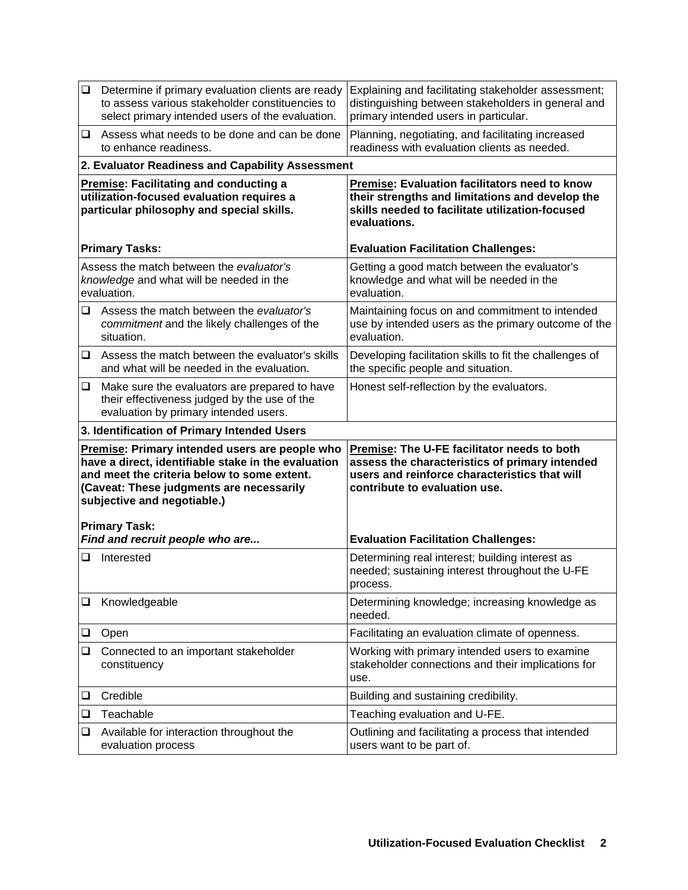| $\Box$                                                                                                                                                                                                                          | Determine if primary evaluation clients are ready<br>to assess various stakeholder constituencies to<br>select primary intended users of the evaluation. | Explaining and facilitating stakeholder assessment;<br>distinguishing between stakeholders in general and<br>primary intended users in particular.                                     |
|---------------------------------------------------------------------------------------------------------------------------------------------------------------------------------------------------------------------------------|----------------------------------------------------------------------------------------------------------------------------------------------------------|----------------------------------------------------------------------------------------------------------------------------------------------------------------------------------------|
| ❏                                                                                                                                                                                                                               | Assess what needs to be done and can be done<br>to enhance readiness.                                                                                    | Planning, negotiating, and facilitating increased<br>readiness with evaluation clients as needed.                                                                                      |
|                                                                                                                                                                                                                                 | 2. Evaluator Readiness and Capability Assessment                                                                                                         |                                                                                                                                                                                        |
| <b>Premise: Facilitating and conducting a</b><br>utilization-focused evaluation requires a<br>particular philosophy and special skills.                                                                                         |                                                                                                                                                          | Premise: Evaluation facilitators need to know<br>their strengths and limitations and develop the<br>skills needed to facilitate utilization-focused<br>evaluations.                    |
|                                                                                                                                                                                                                                 | <b>Primary Tasks:</b>                                                                                                                                    | <b>Evaluation Facilitation Challenges:</b>                                                                                                                                             |
| Assess the match between the evaluator's<br>knowledge and what will be needed in the<br>evaluation.                                                                                                                             |                                                                                                                                                          | Getting a good match between the evaluator's<br>knowledge and what will be needed in the<br>evaluation.                                                                                |
| ❏                                                                                                                                                                                                                               | Assess the match between the evaluator's<br>commitment and the likely challenges of the<br>situation.                                                    | Maintaining focus on and commitment to intended<br>use by intended users as the primary outcome of the<br>evaluation.                                                                  |
| ⊔                                                                                                                                                                                                                               | Assess the match between the evaluator's skills<br>and what will be needed in the evaluation.                                                            | Developing facilitation skills to fit the challenges of<br>the specific people and situation.                                                                                          |
| ❏                                                                                                                                                                                                                               | Make sure the evaluators are prepared to have<br>their effectiveness judged by the use of the<br>evaluation by primary intended users.                   | Honest self-reflection by the evaluators.                                                                                                                                              |
|                                                                                                                                                                                                                                 | 3. Identification of Primary Intended Users                                                                                                              |                                                                                                                                                                                        |
| Premise: Primary intended users are people who<br>have a direct, identifiable stake in the evaluation<br>and meet the criteria below to some extent.<br>(Caveat: These judgments are necessarily<br>subjective and negotiable.) |                                                                                                                                                          | <b>Premise: The U-FE facilitator needs to both</b><br>assess the characteristics of primary intended<br>users and reinforce characteristics that will<br>contribute to evaluation use. |
|                                                                                                                                                                                                                                 | <b>Primary Task:</b><br>Find and recruit people who are                                                                                                  | <b>Evaluation Facilitation Challenges:</b>                                                                                                                                             |
| ⊔                                                                                                                                                                                                                               | Interested                                                                                                                                               | Determining real interest; building interest as<br>needed; sustaining interest throughout the U-FE<br>process.                                                                         |
| ❏                                                                                                                                                                                                                               | Knowledgeable                                                                                                                                            | Determining knowledge; increasing knowledge as<br>needed.                                                                                                                              |
| ❏                                                                                                                                                                                                                               | Open                                                                                                                                                     | Facilitating an evaluation climate of openness.                                                                                                                                        |
| ⊔                                                                                                                                                                                                                               | Connected to an important stakeholder<br>constituency                                                                                                    | Working with primary intended users to examine<br>stakeholder connections and their implications for<br>use.                                                                           |
| ❏                                                                                                                                                                                                                               | Credible                                                                                                                                                 | Building and sustaining credibility.                                                                                                                                                   |
| ⊔                                                                                                                                                                                                                               | Teachable                                                                                                                                                | Teaching evaluation and U-FE.                                                                                                                                                          |
| ❏                                                                                                                                                                                                                               | Available for interaction throughout the                                                                                                                 | Outlining and facilitating a process that intended                                                                                                                                     |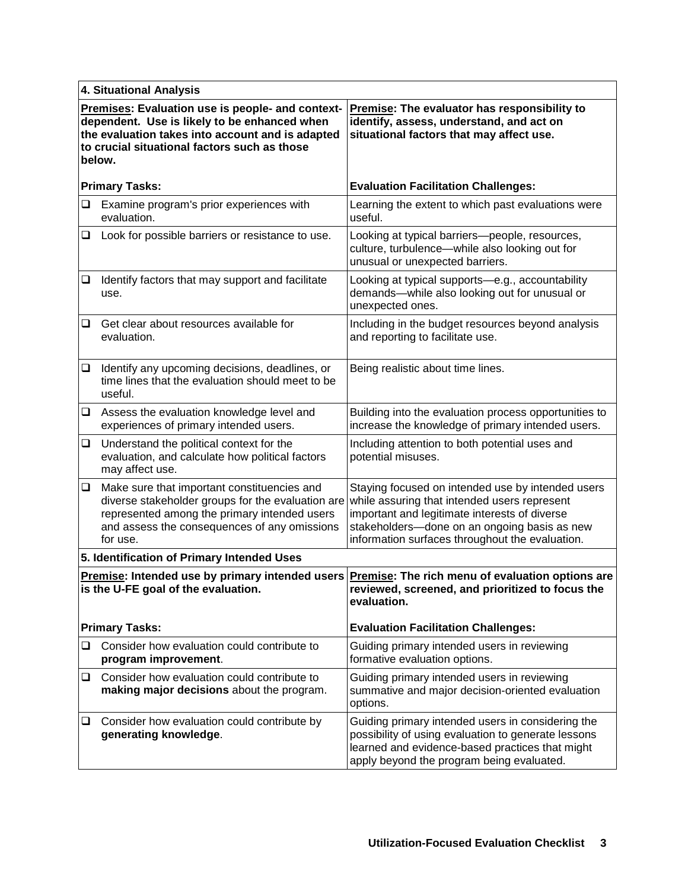| 4. Situational Analysis                                                                                                                                                                                        |                                                                                                                                                                                                              |                                                                                                                                                                                                                                                       |
|----------------------------------------------------------------------------------------------------------------------------------------------------------------------------------------------------------------|--------------------------------------------------------------------------------------------------------------------------------------------------------------------------------------------------------------|-------------------------------------------------------------------------------------------------------------------------------------------------------------------------------------------------------------------------------------------------------|
| Premises: Evaluation use is people- and context-<br>dependent. Use is likely to be enhanced when<br>the evaluation takes into account and is adapted<br>to crucial situational factors such as those<br>below. |                                                                                                                                                                                                              | Premise: The evaluator has responsibility to<br>identify, assess, understand, and act on<br>situational factors that may affect use.                                                                                                                  |
|                                                                                                                                                                                                                | <b>Primary Tasks:</b>                                                                                                                                                                                        | <b>Evaluation Facilitation Challenges:</b>                                                                                                                                                                                                            |
| ❏                                                                                                                                                                                                              | Examine program's prior experiences with<br>evaluation.                                                                                                                                                      | Learning the extent to which past evaluations were<br>useful.                                                                                                                                                                                         |
| ❏                                                                                                                                                                                                              | Look for possible barriers or resistance to use.                                                                                                                                                             | Looking at typical barriers-people, resources,<br>culture, turbulence-while also looking out for<br>unusual or unexpected barriers.                                                                                                                   |
| ❏                                                                                                                                                                                                              | Identify factors that may support and facilitate<br>use.                                                                                                                                                     | Looking at typical supports-e.g., accountability<br>demands-while also looking out for unusual or<br>unexpected ones.                                                                                                                                 |
| ❏                                                                                                                                                                                                              | Get clear about resources available for<br>evaluation.                                                                                                                                                       | Including in the budget resources beyond analysis<br>and reporting to facilitate use.                                                                                                                                                                 |
| ❏                                                                                                                                                                                                              | Identify any upcoming decisions, deadlines, or<br>time lines that the evaluation should meet to be<br>useful.                                                                                                | Being realistic about time lines.                                                                                                                                                                                                                     |
| ❏                                                                                                                                                                                                              | Assess the evaluation knowledge level and<br>experiences of primary intended users.                                                                                                                          | Building into the evaluation process opportunities to<br>increase the knowledge of primary intended users.                                                                                                                                            |
| $\Box$                                                                                                                                                                                                         | Understand the political context for the<br>evaluation, and calculate how political factors<br>may affect use.                                                                                               | Including attention to both potential uses and<br>potential misuses.                                                                                                                                                                                  |
| ❏                                                                                                                                                                                                              | Make sure that important constituencies and<br>diverse stakeholder groups for the evaluation are<br>represented among the primary intended users<br>and assess the consequences of any omissions<br>for use. | Staying focused on intended use by intended users<br>while assuring that intended users represent<br>important and legitimate interests of diverse<br>stakeholders-done on an ongoing basis as new<br>information surfaces throughout the evaluation. |
|                                                                                                                                                                                                                | 5. Identification of Primary Intended Uses                                                                                                                                                                   |                                                                                                                                                                                                                                                       |
|                                                                                                                                                                                                                | is the U-FE goal of the evaluation.                                                                                                                                                                          | Premise: Intended use by primary intended users Premise: The rich menu of evaluation options are<br>reviewed, screened, and prioritized to focus the<br>evaluation.                                                                                   |
|                                                                                                                                                                                                                | <b>Primary Tasks:</b>                                                                                                                                                                                        | <b>Evaluation Facilitation Challenges:</b>                                                                                                                                                                                                            |
| u                                                                                                                                                                                                              | Consider how evaluation could contribute to<br>program improvement.                                                                                                                                          | Guiding primary intended users in reviewing<br>formative evaluation options.                                                                                                                                                                          |
| ❏                                                                                                                                                                                                              | Consider how evaluation could contribute to<br>making major decisions about the program.                                                                                                                     | Guiding primary intended users in reviewing<br>summative and major decision-oriented evaluation<br>options.                                                                                                                                           |
| ❏                                                                                                                                                                                                              | Consider how evaluation could contribute by<br>generating knowledge.                                                                                                                                         | Guiding primary intended users in considering the<br>possibility of using evaluation to generate lessons<br>learned and evidence-based practices that might<br>apply beyond the program being evaluated.                                              |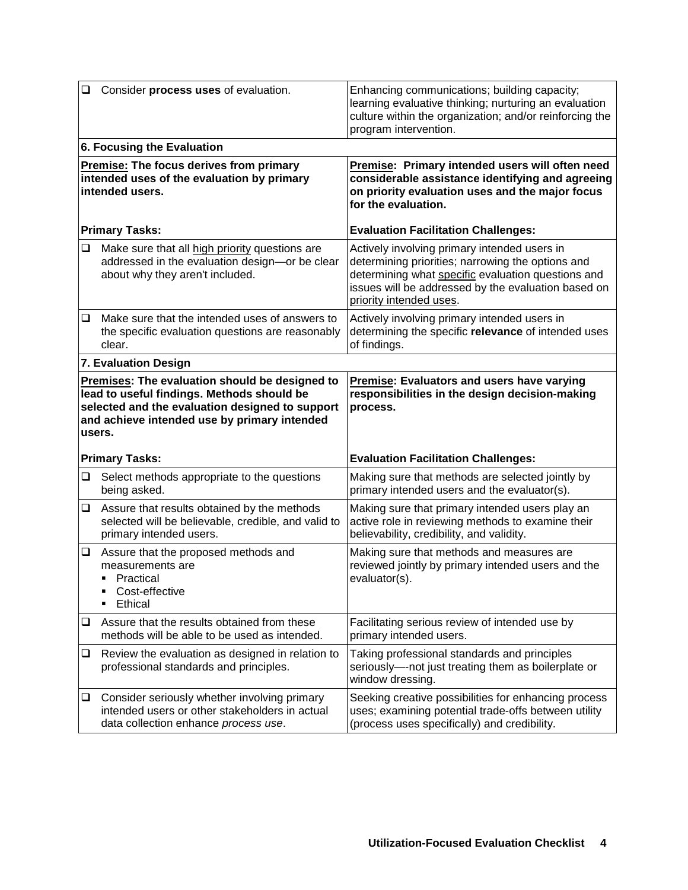| ❏                                                                                                                                                                                                         | Consider process uses of evaluation.                                                                                                   | Enhancing communications; building capacity;<br>learning evaluative thinking; nurturing an evaluation<br>culture within the organization; and/or reinforcing the<br>program intervention.                                                 |
|-----------------------------------------------------------------------------------------------------------------------------------------------------------------------------------------------------------|----------------------------------------------------------------------------------------------------------------------------------------|-------------------------------------------------------------------------------------------------------------------------------------------------------------------------------------------------------------------------------------------|
|                                                                                                                                                                                                           | 6. Focusing the Evaluation                                                                                                             |                                                                                                                                                                                                                                           |
| <b>Premise: The focus derives from primary</b><br>intended uses of the evaluation by primary<br>intended users.                                                                                           |                                                                                                                                        | Premise: Primary intended users will often need<br>considerable assistance identifying and agreeing<br>on priority evaluation uses and the major focus<br>for the evaluation.                                                             |
|                                                                                                                                                                                                           | <b>Primary Tasks:</b>                                                                                                                  | <b>Evaluation Facilitation Challenges:</b>                                                                                                                                                                                                |
| ❏                                                                                                                                                                                                         | Make sure that all high priority questions are<br>addressed in the evaluation design-or be clear<br>about why they aren't included.    | Actively involving primary intended users in<br>determining priorities; narrowing the options and<br>determining what specific evaluation questions and<br>issues will be addressed by the evaluation based on<br>priority intended uses. |
| ❏                                                                                                                                                                                                         | Make sure that the intended uses of answers to<br>the specific evaluation questions are reasonably<br>clear.                           | Actively involving primary intended users in<br>determining the specific relevance of intended uses<br>of findings.                                                                                                                       |
|                                                                                                                                                                                                           | 7. Evaluation Design                                                                                                                   |                                                                                                                                                                                                                                           |
| Premises: The evaluation should be designed to<br>lead to useful findings. Methods should be<br>selected and the evaluation designed to support<br>and achieve intended use by primary intended<br>users. |                                                                                                                                        | <b>Premise: Evaluators and users have varying</b><br>responsibilities in the design decision-making<br>process.                                                                                                                           |
|                                                                                                                                                                                                           | <b>Primary Tasks:</b>                                                                                                                  | <b>Evaluation Facilitation Challenges:</b>                                                                                                                                                                                                |
| $\Box$                                                                                                                                                                                                    | Select methods appropriate to the questions<br>being asked.                                                                            | Making sure that methods are selected jointly by<br>primary intended users and the evaluator(s).                                                                                                                                          |
| ❏                                                                                                                                                                                                         | Assure that results obtained by the methods<br>selected will be believable, credible, and valid to<br>primary intended users.          | Making sure that primary intended users play an<br>active role in reviewing methods to examine their<br>believability, credibility, and validity.                                                                                         |
| ⊔                                                                                                                                                                                                         | Assure that the proposed methods and<br>measurements are<br>Practical<br>Cost-effective<br>Ethical                                     | Making sure that methods and measures are<br>reviewed jointly by primary intended users and the<br>evaluator(s).                                                                                                                          |
| ❏                                                                                                                                                                                                         | Assure that the results obtained from these<br>methods will be able to be used as intended.                                            | Facilitating serious review of intended use by<br>primary intended users.                                                                                                                                                                 |
| ❏                                                                                                                                                                                                         | Review the evaluation as designed in relation to<br>professional standards and principles.                                             | Taking professional standards and principles<br>seriously---not just treating them as boilerplate or<br>window dressing.                                                                                                                  |
| ❏                                                                                                                                                                                                         | Consider seriously whether involving primary<br>intended users or other stakeholders in actual<br>data collection enhance process use. | Seeking creative possibilities for enhancing process<br>uses; examining potential trade-offs between utility<br>(process uses specifically) and credibility.                                                                              |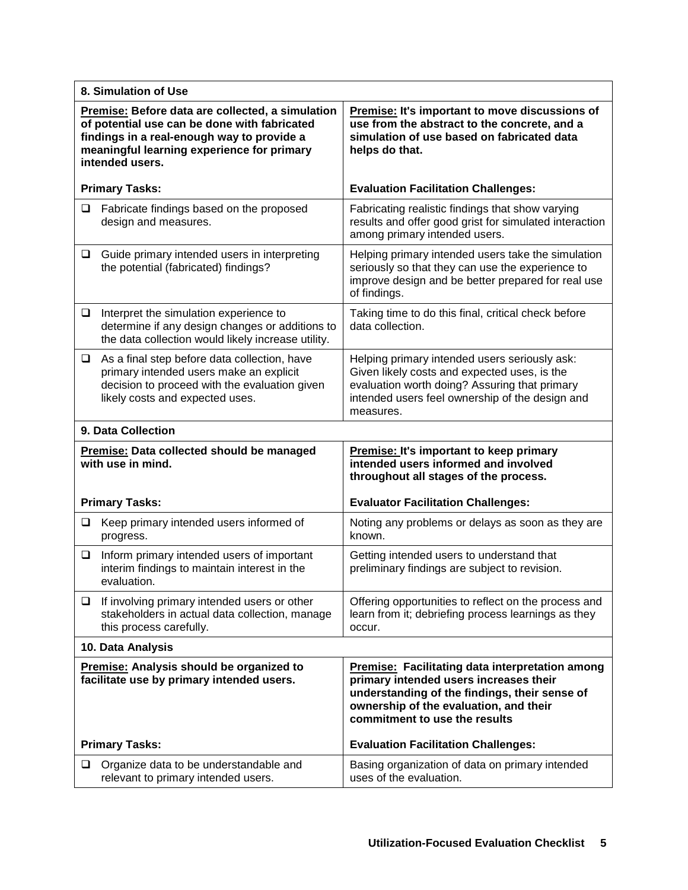| 8. Simulation of Use                                                                                                                                                                                            |                                                                                                                                                                                                                              |  |
|-----------------------------------------------------------------------------------------------------------------------------------------------------------------------------------------------------------------|------------------------------------------------------------------------------------------------------------------------------------------------------------------------------------------------------------------------------|--|
| Premise: Before data are collected, a simulation<br>of potential use can be done with fabricated<br>findings in a real-enough way to provide a<br>meaningful learning experience for primary<br>intended users. | Premise: It's important to move discussions of<br>use from the abstract to the concrete, and a<br>simulation of use based on fabricated data<br>helps do that.                                                               |  |
| <b>Primary Tasks:</b>                                                                                                                                                                                           | <b>Evaluation Facilitation Challenges:</b>                                                                                                                                                                                   |  |
| Fabricate findings based on the proposed<br>❏<br>design and measures.                                                                                                                                           | Fabricating realistic findings that show varying<br>results and offer good grist for simulated interaction<br>among primary intended users.                                                                                  |  |
| Guide primary intended users in interpreting<br>❏<br>the potential (fabricated) findings?                                                                                                                       | Helping primary intended users take the simulation<br>seriously so that they can use the experience to<br>improve design and be better prepared for real use<br>of findings.                                                 |  |
| Interpret the simulation experience to<br>$\Box$<br>determine if any design changes or additions to<br>the data collection would likely increase utility.                                                       | Taking time to do this final, critical check before<br>data collection.                                                                                                                                                      |  |
| As a final step before data collection, have<br>❏<br>primary intended users make an explicit<br>decision to proceed with the evaluation given<br>likely costs and expected uses.                                | Helping primary intended users seriously ask:<br>Given likely costs and expected uses, is the<br>evaluation worth doing? Assuring that primary<br>intended users feel ownership of the design and<br>measures.               |  |
| 9. Data Collection                                                                                                                                                                                              |                                                                                                                                                                                                                              |  |
| Premise: Data collected should be managed<br>with use in mind.                                                                                                                                                  | <b>Premise: It's important to keep primary</b><br>intended users informed and involved<br>throughout all stages of the process.                                                                                              |  |
| <b>Primary Tasks:</b>                                                                                                                                                                                           | <b>Evaluator Facilitation Challenges:</b>                                                                                                                                                                                    |  |
| Keep primary intended users informed of<br>❏<br>progress.                                                                                                                                                       | Noting any problems or delays as soon as they are<br>known.                                                                                                                                                                  |  |
| Inform primary intended users of important<br>$\Box$<br>interim findings to maintain interest in the<br>evaluation.                                                                                             | Getting intended users to understand that<br>preliminary findings are subject to revision.                                                                                                                                   |  |
| If involving primary intended users or other<br>⊔<br>stakeholders in actual data collection, manage<br>this process carefully.                                                                                  | Offering opportunities to reflect on the process and<br>learn from it; debriefing process learnings as they<br>occur.                                                                                                        |  |
| 10. Data Analysis                                                                                                                                                                                               |                                                                                                                                                                                                                              |  |
| Premise: Analysis should be organized to<br>facilitate use by primary intended users.                                                                                                                           | <b>Premise: Facilitating data interpretation among</b><br>primary intended users increases their<br>understanding of the findings, their sense of<br>ownership of the evaluation, and their<br>commitment to use the results |  |
| <b>Primary Tasks:</b>                                                                                                                                                                                           | <b>Evaluation Facilitation Challenges:</b>                                                                                                                                                                                   |  |
| Organize data to be understandable and<br>⊔<br>relevant to primary intended users.                                                                                                                              | Basing organization of data on primary intended<br>uses of the evaluation.                                                                                                                                                   |  |